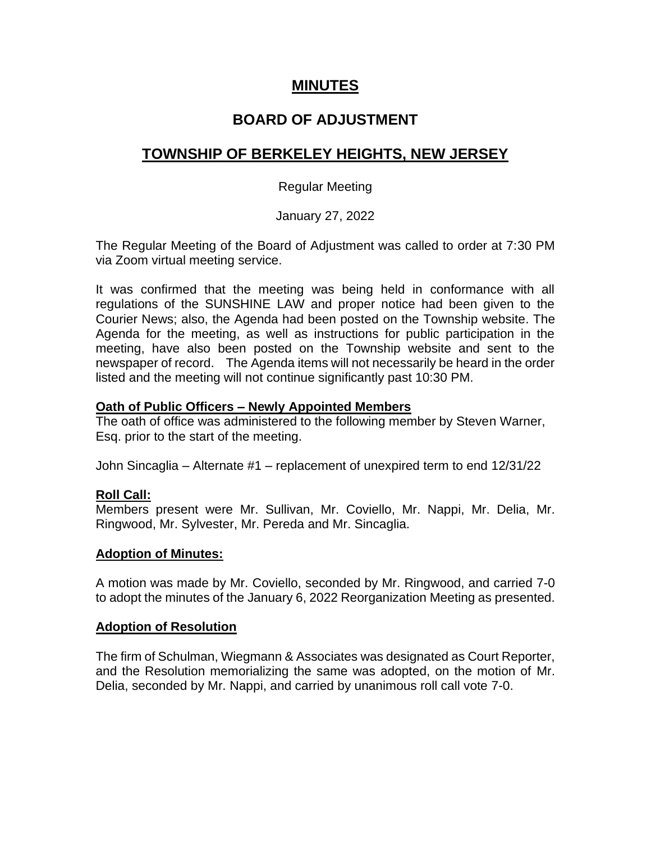## **MINUTES**

# **BOARD OF ADJUSTMENT**

# **TOWNSHIP OF BERKELEY HEIGHTS, NEW JERSEY**

## Regular Meeting

## January 27, 2022

The Regular Meeting of the Board of Adjustment was called to order at 7:30 PM via Zoom virtual meeting service.

It was confirmed that the meeting was being held in conformance with all regulations of the SUNSHINE LAW and proper notice had been given to the Courier News; also, the Agenda had been posted on the Township website. The Agenda for the meeting, as well as instructions for public participation in the meeting, have also been posted on the Township website and sent to the newspaper of record. The Agenda items will not necessarily be heard in the order listed and the meeting will not continue significantly past 10:30 PM.

## **Oath of Public Officers – Newly Appointed Members**

The oath of office was administered to the following member by Steven Warner, Esq. prior to the start of the meeting.

John Sincaglia – Alternate #1 – replacement of unexpired term to end 12/31/22

## **Roll Call:**

Members present were Mr. Sullivan, Mr. Coviello, Mr. Nappi, Mr. Delia, Mr. Ringwood, Mr. Sylvester, Mr. Pereda and Mr. Sincaglia.

#### **Adoption of Minutes:**

A motion was made by Mr. Coviello, seconded by Mr. Ringwood, and carried 7-0 to adopt the minutes of the January 6, 2022 Reorganization Meeting as presented.

#### **Adoption of Resolution**

The firm of Schulman, Wiegmann & Associates was designated as Court Reporter, and the Resolution memorializing the same was adopted, on the motion of Mr. Delia, seconded by Mr. Nappi, and carried by unanimous roll call vote 7-0.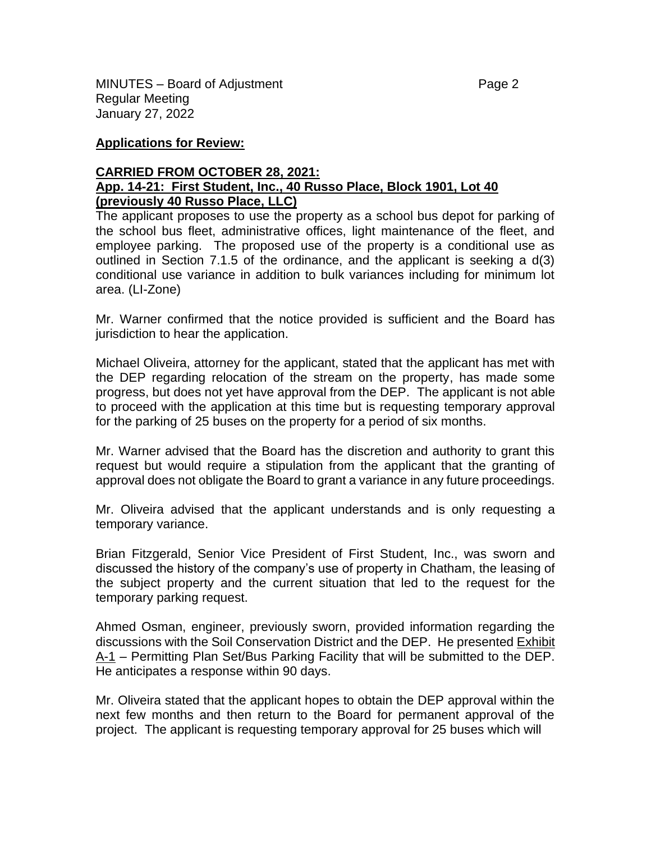MINUTES – Board of Adjustment **Page 2** and Page 2 Regular Meeting January 27, 2022

#### **Applications for Review:**

### **CARRIED FROM OCTOBER 28, 2021: App. 14-21: First Student, Inc., 40 Russo Place, Block 1901, Lot 40 (previously 40 Russo Place, LLC)**

The applicant proposes to use the property as a school bus depot for parking of the school bus fleet, administrative offices, light maintenance of the fleet, and employee parking. The proposed use of the property is a conditional use as outlined in Section 7.1.5 of the ordinance, and the applicant is seeking a d(3) conditional use variance in addition to bulk variances including for minimum lot area. (LI-Zone)

Mr. Warner confirmed that the notice provided is sufficient and the Board has jurisdiction to hear the application.

Michael Oliveira, attorney for the applicant, stated that the applicant has met with the DEP regarding relocation of the stream on the property, has made some progress, but does not yet have approval from the DEP. The applicant is not able to proceed with the application at this time but is requesting temporary approval for the parking of 25 buses on the property for a period of six months.

Mr. Warner advised that the Board has the discretion and authority to grant this request but would require a stipulation from the applicant that the granting of approval does not obligate the Board to grant a variance in any future proceedings.

Mr. Oliveira advised that the applicant understands and is only requesting a temporary variance.

Brian Fitzgerald, Senior Vice President of First Student, Inc., was sworn and discussed the history of the company's use of property in Chatham, the leasing of the subject property and the current situation that led to the request for the temporary parking request.

Ahmed Osman, engineer, previously sworn, provided information regarding the discussions with the Soil Conservation District and the DEP. He presented Exhibit A-1 – Permitting Plan Set/Bus Parking Facility that will be submitted to the DEP. He anticipates a response within 90 days.

Mr. Oliveira stated that the applicant hopes to obtain the DEP approval within the next few months and then return to the Board for permanent approval of the project. The applicant is requesting temporary approval for 25 buses which will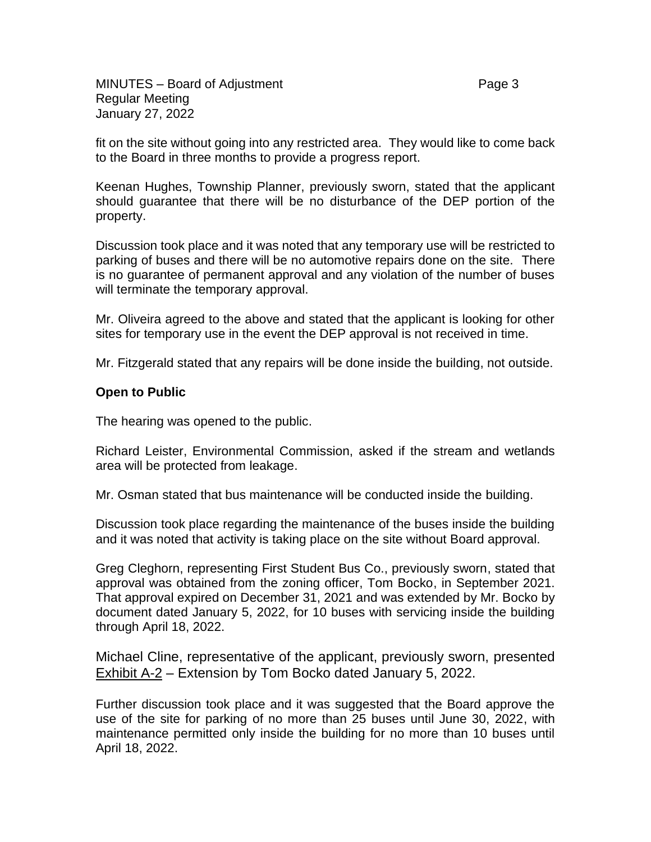fit on the site without going into any restricted area. They would like to come back to the Board in three months to provide a progress report.

Keenan Hughes, Township Planner, previously sworn, stated that the applicant should guarantee that there will be no disturbance of the DEP portion of the property.

Discussion took place and it was noted that any temporary use will be restricted to parking of buses and there will be no automotive repairs done on the site. There is no guarantee of permanent approval and any violation of the number of buses will terminate the temporary approval.

Mr. Oliveira agreed to the above and stated that the applicant is looking for other sites for temporary use in the event the DEP approval is not received in time.

Mr. Fitzgerald stated that any repairs will be done inside the building, not outside.

#### **Open to Public**

The hearing was opened to the public.

Richard Leister, Environmental Commission, asked if the stream and wetlands area will be protected from leakage.

Mr. Osman stated that bus maintenance will be conducted inside the building.

Discussion took place regarding the maintenance of the buses inside the building and it was noted that activity is taking place on the site without Board approval.

Greg Cleghorn, representing First Student Bus Co., previously sworn, stated that approval was obtained from the zoning officer, Tom Bocko, in September 2021. That approval expired on December 31, 2021 and was extended by Mr. Bocko by document dated January 5, 2022, for 10 buses with servicing inside the building through April 18, 2022.

Michael Cline, representative of the applicant, previously sworn, presented Exhibit A-2 – Extension by Tom Bocko dated January 5, 2022.

Further discussion took place and it was suggested that the Board approve the use of the site for parking of no more than 25 buses until June 30, 2022, with maintenance permitted only inside the building for no more than 10 buses until April 18, 2022.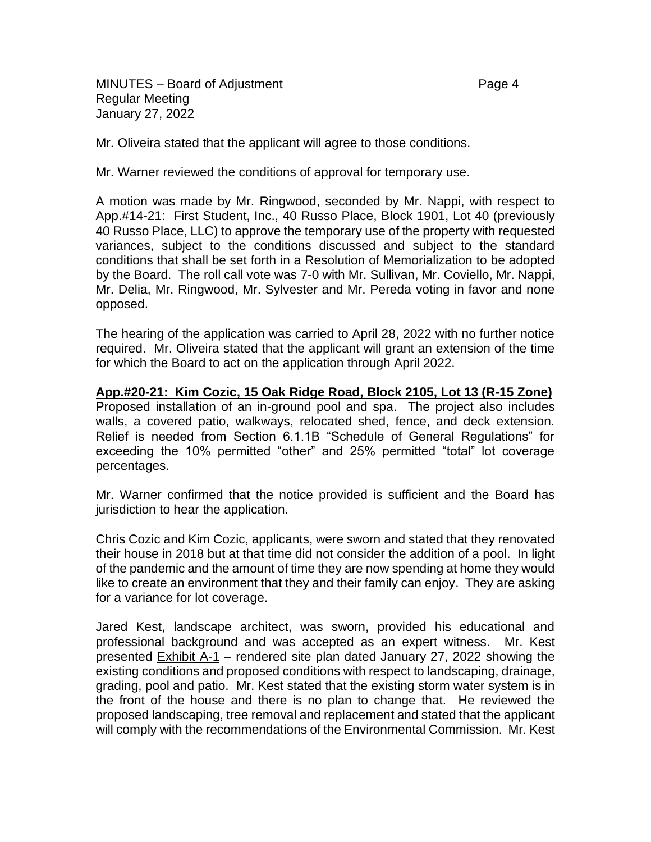MINUTES – Board of Adjustment **Page 4** Regular Meeting January 27, 2022

Mr. Oliveira stated that the applicant will agree to those conditions.

Mr. Warner reviewed the conditions of approval for temporary use.

A motion was made by Mr. Ringwood, seconded by Mr. Nappi, with respect to App.#14-21: First Student, Inc., 40 Russo Place, Block 1901, Lot 40 (previously 40 Russo Place, LLC) to approve the temporary use of the property with requested variances, subject to the conditions discussed and subject to the standard conditions that shall be set forth in a Resolution of Memorialization to be adopted by the Board. The roll call vote was 7-0 with Mr. Sullivan, Mr. Coviello, Mr. Nappi, Mr. Delia, Mr. Ringwood, Mr. Sylvester and Mr. Pereda voting in favor and none opposed.

The hearing of the application was carried to April 28, 2022 with no further notice required. Mr. Oliveira stated that the applicant will grant an extension of the time for which the Board to act on the application through April 2022.

**App.#20-21: Kim Cozic, 15 Oak Ridge Road, Block 2105, Lot 13 (R-15 Zone)** Proposed installation of an in-ground pool and spa. The project also includes walls, a covered patio, walkways, relocated shed, fence, and deck extension. Relief is needed from Section 6.1.1B "Schedule of General Regulations" for exceeding the 10% permitted "other" and 25% permitted "total" lot coverage percentages.

Mr. Warner confirmed that the notice provided is sufficient and the Board has jurisdiction to hear the application.

Chris Cozic and Kim Cozic, applicants, were sworn and stated that they renovated their house in 2018 but at that time did not consider the addition of a pool. In light of the pandemic and the amount of time they are now spending at home they would like to create an environment that they and their family can enjoy. They are asking for a variance for lot coverage.

Jared Kest, landscape architect, was sworn, provided his educational and professional background and was accepted as an expert witness. Mr. Kest presented Exhibit A-1 – rendered site plan dated January 27, 2022 showing the existing conditions and proposed conditions with respect to landscaping, drainage, grading, pool and patio. Mr. Kest stated that the existing storm water system is in the front of the house and there is no plan to change that. He reviewed the proposed landscaping, tree removal and replacement and stated that the applicant will comply with the recommendations of the Environmental Commission. Mr. Kest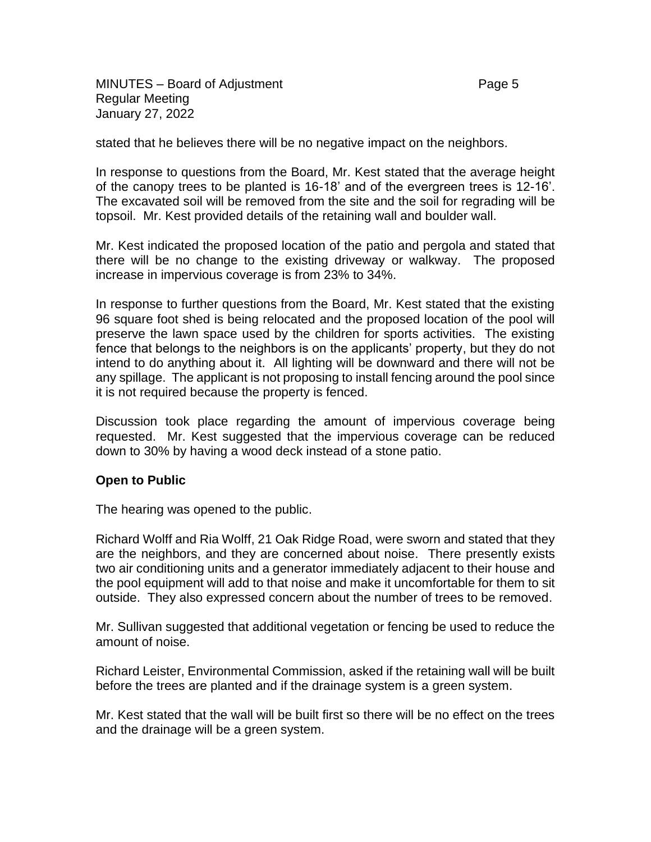MINUTES – Board of Adjustment **Page 5** Regular Meeting January 27, 2022

stated that he believes there will be no negative impact on the neighbors.

In response to questions from the Board, Mr. Kest stated that the average height of the canopy trees to be planted is 16-18' and of the evergreen trees is 12-16'. The excavated soil will be removed from the site and the soil for regrading will be topsoil. Mr. Kest provided details of the retaining wall and boulder wall.

Mr. Kest indicated the proposed location of the patio and pergola and stated that there will be no change to the existing driveway or walkway. The proposed increase in impervious coverage is from 23% to 34%.

In response to further questions from the Board, Mr. Kest stated that the existing 96 square foot shed is being relocated and the proposed location of the pool will preserve the lawn space used by the children for sports activities. The existing fence that belongs to the neighbors is on the applicants' property, but they do not intend to do anything about it. All lighting will be downward and there will not be any spillage. The applicant is not proposing to install fencing around the pool since it is not required because the property is fenced.

Discussion took place regarding the amount of impervious coverage being requested. Mr. Kest suggested that the impervious coverage can be reduced down to 30% by having a wood deck instead of a stone patio.

## **Open to Public**

The hearing was opened to the public.

Richard Wolff and Ria Wolff, 21 Oak Ridge Road, were sworn and stated that they are the neighbors, and they are concerned about noise. There presently exists two air conditioning units and a generator immediately adjacent to their house and the pool equipment will add to that noise and make it uncomfortable for them to sit outside. They also expressed concern about the number of trees to be removed.

Mr. Sullivan suggested that additional vegetation or fencing be used to reduce the amount of noise.

Richard Leister, Environmental Commission, asked if the retaining wall will be built before the trees are planted and if the drainage system is a green system.

Mr. Kest stated that the wall will be built first so there will be no effect on the trees and the drainage will be a green system.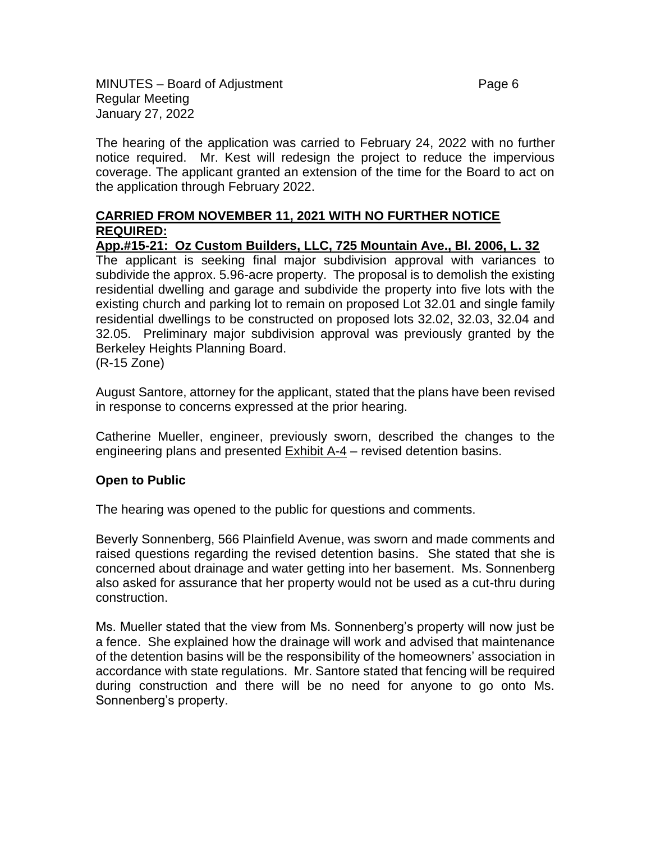MINUTES – Board of Adjustment **Page 6** Regular Meeting January 27, 2022

The hearing of the application was carried to February 24, 2022 with no further notice required. Mr. Kest will redesign the project to reduce the impervious coverage. The applicant granted an extension of the time for the Board to act on the application through February 2022.

## **CARRIED FROM NOVEMBER 11, 2021 WITH NO FURTHER NOTICE REQUIRED:**

**App.#15-21: Oz Custom Builders, LLC, 725 Mountain Ave., Bl. 2006, L. 32** 

The applicant is seeking final major subdivision approval with variances to subdivide the approx. 5.96-acre property. The proposal is to demolish the existing residential dwelling and garage and subdivide the property into five lots with the existing church and parking lot to remain on proposed Lot 32.01 and single family residential dwellings to be constructed on proposed lots 32.02, 32.03, 32.04 and 32.05. Preliminary major subdivision approval was previously granted by the Berkeley Heights Planning Board.

(R-15 Zone)

August Santore, attorney for the applicant, stated that the plans have been revised in response to concerns expressed at the prior hearing.

Catherine Mueller, engineer, previously sworn, described the changes to the engineering plans and presented Exhibit A-4 – revised detention basins.

## **Open to Public**

The hearing was opened to the public for questions and comments.

Beverly Sonnenberg, 566 Plainfield Avenue, was sworn and made comments and raised questions regarding the revised detention basins. She stated that she is concerned about drainage and water getting into her basement. Ms. Sonnenberg also asked for assurance that her property would not be used as a cut-thru during construction.

Ms. Mueller stated that the view from Ms. Sonnenberg's property will now just be a fence. She explained how the drainage will work and advised that maintenance of the detention basins will be the responsibility of the homeowners' association in accordance with state regulations. Mr. Santore stated that fencing will be required during construction and there will be no need for anyone to go onto Ms. Sonnenberg's property.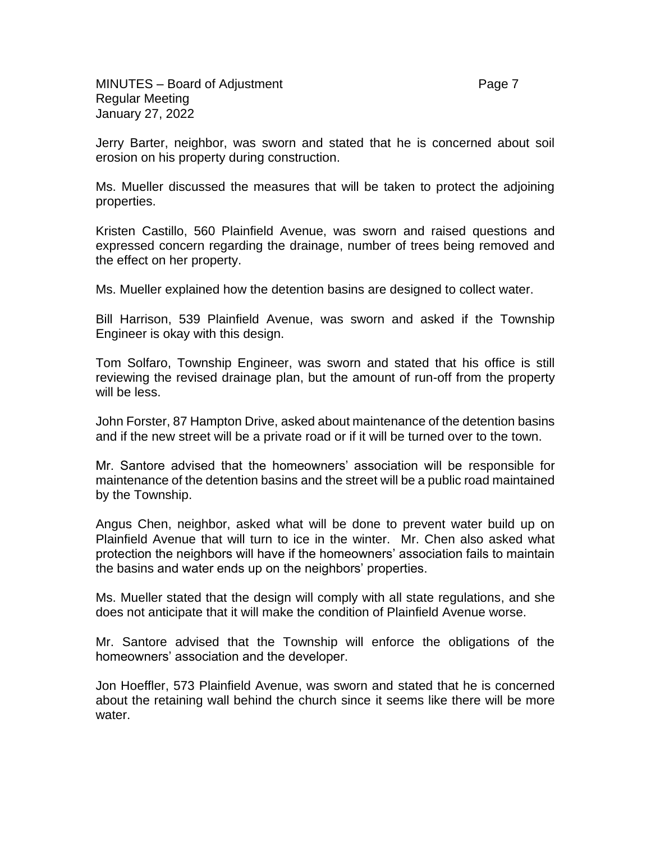Jerry Barter, neighbor, was sworn and stated that he is concerned about soil erosion on his property during construction.

Ms. Mueller discussed the measures that will be taken to protect the adjoining properties.

Kristen Castillo, 560 Plainfield Avenue, was sworn and raised questions and expressed concern regarding the drainage, number of trees being removed and the effect on her property.

Ms. Mueller explained how the detention basins are designed to collect water.

Bill Harrison, 539 Plainfield Avenue, was sworn and asked if the Township Engineer is okay with this design.

Tom Solfaro, Township Engineer, was sworn and stated that his office is still reviewing the revised drainage plan, but the amount of run-off from the property will be less.

John Forster, 87 Hampton Drive, asked about maintenance of the detention basins and if the new street will be a private road or if it will be turned over to the town.

Mr. Santore advised that the homeowners' association will be responsible for maintenance of the detention basins and the street will be a public road maintained by the Township.

Angus Chen, neighbor, asked what will be done to prevent water build up on Plainfield Avenue that will turn to ice in the winter. Mr. Chen also asked what protection the neighbors will have if the homeowners' association fails to maintain the basins and water ends up on the neighbors' properties.

Ms. Mueller stated that the design will comply with all state regulations, and she does not anticipate that it will make the condition of Plainfield Avenue worse.

Mr. Santore advised that the Township will enforce the obligations of the homeowners' association and the developer.

Jon Hoeffler, 573 Plainfield Avenue, was sworn and stated that he is concerned about the retaining wall behind the church since it seems like there will be more water.